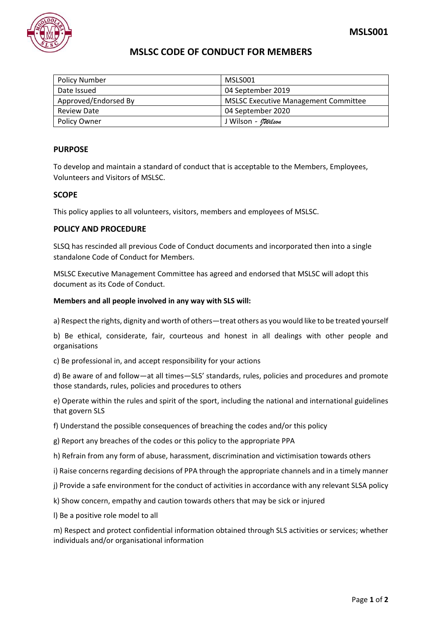## **MSLSC CODE OF CONDUCT FOR MEMBERS**

| <b>Policy Number</b> | MSLS001                                     |
|----------------------|---------------------------------------------|
| Date Issued          | 04 September 2019                           |
| Approved/Endorsed By | <b>MSLSC Executive Management Committee</b> |
| <b>Review Date</b>   | 04 September 2020                           |
| <b>Policy Owner</b>  | J Wilson <i>- Milson</i>                    |

## **PURPOSE**

To develop and maintain a standard of conduct that is acceptable to the Members, Employees, Volunteers and Visitors of MSLSC.

## **SCOPE**

This policy applies to all volunteers, visitors, members and employees of MSLSC.

## **POLICY AND PROCEDURE**

SLSQ has rescinded all previous Code of Conduct documents and incorporated then into a single standalone Code of Conduct for Members.

MSLSC Executive Management Committee has agreed and endorsed that MSLSC will adopt this document as its Code of Conduct.

#### **Members and all people involved in any way with SLS will:**

a) Respect the rights, dignity and worth of others—treat others as you would like to be treated yourself

b) Be ethical, considerate, fair, courteous and honest in all dealings with other people and organisations

c) Be professional in, and accept responsibility for your actions

d) Be aware of and follow—at all times—SLS' standards, rules, policies and procedures and promote those standards, rules, policies and procedures to others

e) Operate within the rules and spirit of the sport, including the national and international guidelines that govern SLS

- f) Understand the possible consequences of breaching the codes and/or this policy
- g) Report any breaches of the codes or this policy to the appropriate PPA
- h) Refrain from any form of abuse, harassment, discrimination and victimisation towards others
- i) Raise concerns regarding decisions of PPA through the appropriate channels and in a timely manner
- j) Provide a safe environment for the conduct of activities in accordance with any relevant SLSA policy
- k) Show concern, empathy and caution towards others that may be sick or injured
- l) Be a positive role model to all

m) Respect and protect confidential information obtained through SLS activities or services; whether individuals and/or organisational information